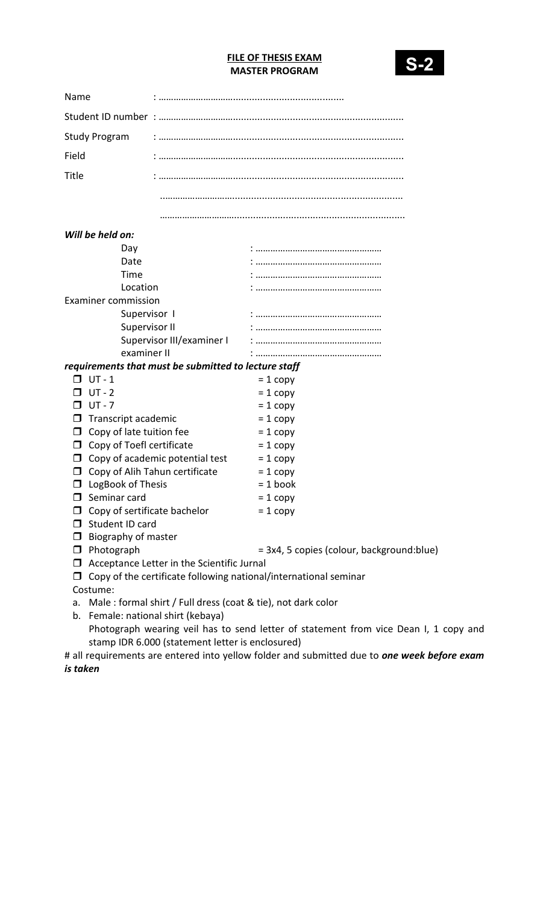## FILE OF THESIS EXAM MASTER PROGRAM



 $1$  copy and

| Name                                   |                                                                             |                                                                  |  |  |  |
|----------------------------------------|-----------------------------------------------------------------------------|------------------------------------------------------------------|--|--|--|
|                                        |                                                                             |                                                                  |  |  |  |
| <b>Study Program</b>                   |                                                                             |                                                                  |  |  |  |
| Field                                  |                                                                             |                                                                  |  |  |  |
|                                        |                                                                             |                                                                  |  |  |  |
| Title                                  |                                                                             |                                                                  |  |  |  |
|                                        |                                                                             |                                                                  |  |  |  |
|                                        |                                                                             |                                                                  |  |  |  |
| Will be held on:                       |                                                                             |                                                                  |  |  |  |
| Day                                    |                                                                             |                                                                  |  |  |  |
| Date                                   |                                                                             |                                                                  |  |  |  |
| Time                                   |                                                                             |                                                                  |  |  |  |
| Location                               |                                                                             |                                                                  |  |  |  |
| <b>Examiner commission</b>             |                                                                             |                                                                  |  |  |  |
| Supervisor I                           |                                                                             |                                                                  |  |  |  |
| Supervisor II                          |                                                                             |                                                                  |  |  |  |
|                                        | Supervisor III/examiner I                                                   |                                                                  |  |  |  |
| examiner II                            |                                                                             |                                                                  |  |  |  |
|                                        | requirements that must be submitted to lecture staff                        |                                                                  |  |  |  |
| $UT - 1$                               |                                                                             | $= 1$ copy                                                       |  |  |  |
| $UT - 2$                               |                                                                             | $= 1$ copy                                                       |  |  |  |
| UT - 7<br>$\Box$                       |                                                                             | $= 1$ copy                                                       |  |  |  |
| Transcript academic<br>$\Box$          |                                                                             | $= 1$ copy                                                       |  |  |  |
| Copy of late tuition fee<br>$\Box$     |                                                                             | $= 1$ copy                                                       |  |  |  |
| $\Box$ Copy of Toefl certificate       |                                                                             | $= 1$ copy                                                       |  |  |  |
|                                        | $\Box$ Copy of academic potential test                                      | $= 1$ copy                                                       |  |  |  |
| $\Box$                                 | Copy of Alih Tahun certificate                                              | $= 1$ copy                                                       |  |  |  |
| $\Box$ LogBook of Thesis               |                                                                             | $= 1$ book                                                       |  |  |  |
| Seminar card<br>П                      |                                                                             | $= 1$ copy                                                       |  |  |  |
| Copy of sertificate bachelor<br>$\Box$ |                                                                             | $= 1$ copy                                                       |  |  |  |
| Student ID card<br>$\Box$              |                                                                             |                                                                  |  |  |  |
| $\Box$ Biography of master             |                                                                             |                                                                  |  |  |  |
| Photograph<br>□                        |                                                                             | = 3x4, 5 copies (colour, background:blue)                        |  |  |  |
| □                                      | Acceptance Letter in the Scientific Jurnal                                  |                                                                  |  |  |  |
|                                        |                                                                             | Copy of the certificate following national/international seminar |  |  |  |
| Costume:                               |                                                                             |                                                                  |  |  |  |
| a.                                     | Male: formal shirt / Full dress (coat & tie), not dark color                |                                                                  |  |  |  |
| b.                                     | Female: national shirt (kebaya)                                             |                                                                  |  |  |  |
|                                        | Photograph wearing veil has to send letter of statement from vice Dean I, 1 |                                                                  |  |  |  |

stamp IDR 6.000 (statement letter is enclosured) # all requirements are entered into yellow folder and submitted due to **one week before exam** is taken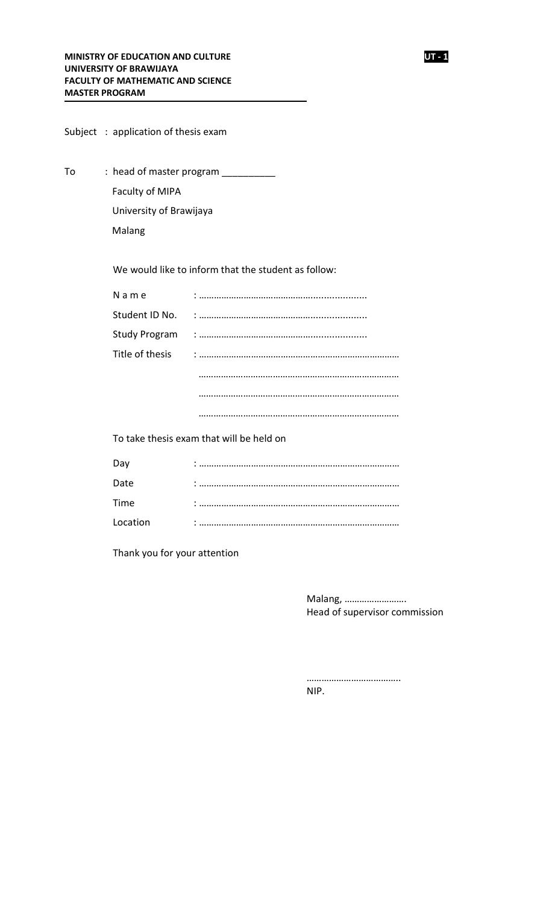|    |  | Subject: application of thesis exam |                                                     |
|----|--|-------------------------------------|-----------------------------------------------------|
| To |  | : head of master program _________  |                                                     |
|    |  | Faculty of MIPA                     |                                                     |
|    |  | University of Brawijaya             |                                                     |
|    |  | Malang                              |                                                     |
|    |  |                                     |                                                     |
|    |  |                                     | We would like to inform that the student as follow: |
|    |  | N a m e                             |                                                     |
|    |  | Student ID No.                      |                                                     |
|    |  | Study Program                       |                                                     |
|    |  | Title of thesis                     |                                                     |
|    |  |                                     |                                                     |
|    |  |                                     |                                                     |
|    |  |                                     |                                                     |
|    |  |                                     | To take thesis exam that will be held on            |
|    |  | Dav.                                |                                                     |

| Day      | ٠ |
|----------|---|
| Date     |   |
| Time     |   |
| Location |   |
|          |   |

Thank you for your attention

Malang, ……………………. Head of supervisor commission

……………………………….. NIP.